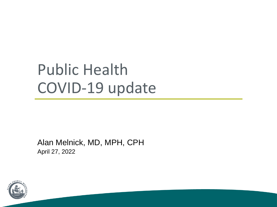# Public Health COVID-19 update

Alan Melnick, MD, MPH, CPH April 27, 2022

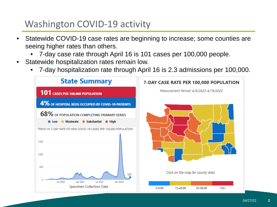# Washington COVID-19 activity

- Statewide COVID-19 case rates are beginning to increase; some counties are seeing higher rates than others.
	- 7-day case rate through April 16 is 101 cases per 100,000 people.
- Statewide hospitalization rates remain low.
	- 7-day hospitalization rate through April 16 is 2.3 admissions per 100,000.

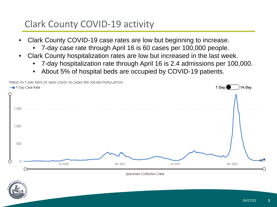# Clark County COVID-19 activity

- Clark County COVID-19 case rates are low but beginning to increase.
	- 7-day case rate through April 16 is 60 cases per 100,000 people.
- Clark County hospitalization rates are low but increased in the last week.
	- 7-day hospitalization rate through April 16 is 2.4 admissions per 100,000.
	- About 5% of hospital beds are occupied by COVID-19 patients.



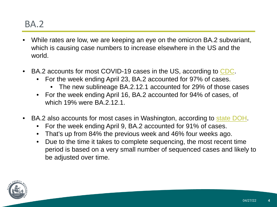#### BA.2

- While rates are low, we are keeping an eye on the omicron BA.2 subvariant, which is causing case numbers to increase elsewhere in the US and the world.
- BA.2 accounts for most COVID-19 cases in the US, according to [CDC](https://covid.cdc.gov/covid-data-tracker/?CDC_AA_refVal=https%3A%2F%2Fwww.cdc.gov%2Fcoronavirus%2F2019-ncov%2Fcases-updates%2Fvariant-proportions.html#variant-proportions).
	- For the week ending April 23, BA.2 accounted for 97% of cases.
		- The new sublineage BA.2.12.1 accounted for 29% of those cases
	- For the week ending April 16, BA.2 accounted for 94% of cases, of which 19% were BA.2.12.1.
- BA.2 also accounts for most cases in Washington, according to [state DOH.](https://doh.wa.gov/sites/default/files/2022-02/420-316-SequencingAndVariantsReport.pdf?uid=6262f90b294c3)
	- For the week ending April 9, BA.2 accounted for 91% of cases.
	- That's up from 84% the previous week and 46% four weeks ago.
	- Due to the time it takes to complete sequencing, the most recent time period is based on a very small number of sequenced cases and likely to be adjusted over time.

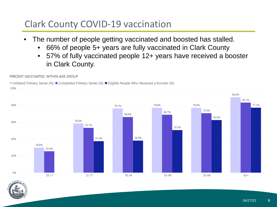# Clark County COVID-19 vaccination

- The number of people getting vaccinated and boosted has stalled.
	- 66% of people 5+ years are fully vaccinated in Clark County
	- 57% of fully vaccinated people 12+ years have received a booster in Clark County.





PERCENT VACCINATED. WITHIN AGE GROUP